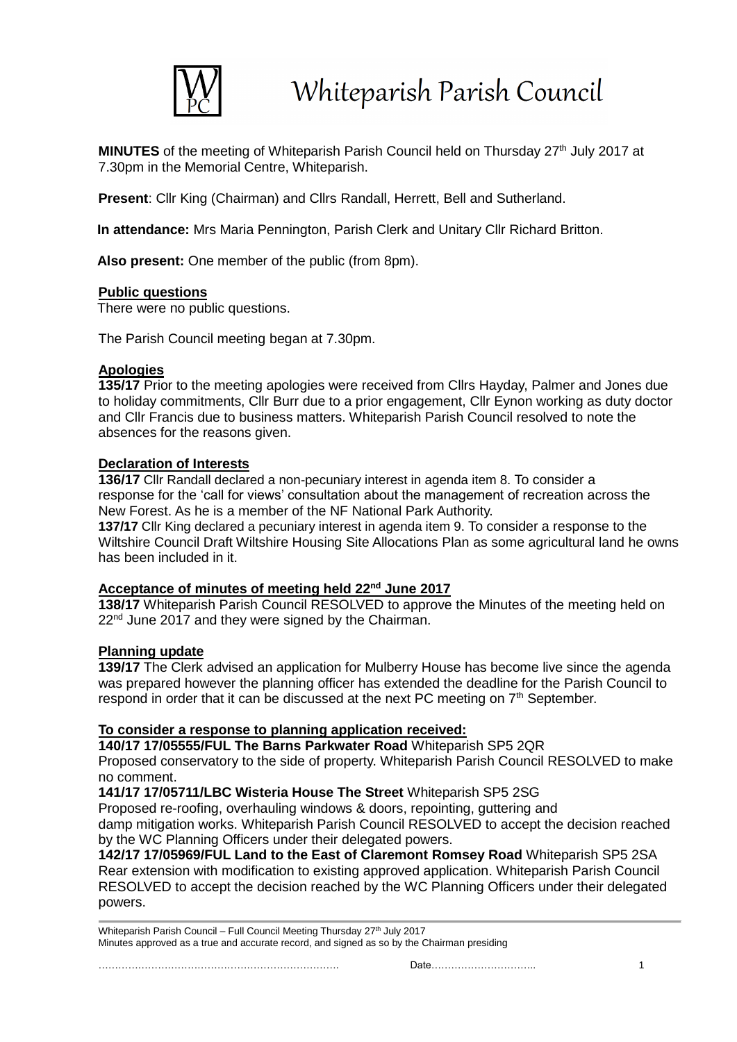

**MINUTES** of the meeting of Whiteparish Parish Council held on Thursday 27<sup>th</sup> July 2017 at 7.30pm in the Memorial Centre, Whiteparish.

**Present**: Cllr King (Chairman) and Cllrs Randall, Herrett, Bell and Sutherland.

**In attendance:** Mrs Maria Pennington, Parish Clerk and Unitary Cllr Richard Britton.

**Also present:** One member of the public (from 8pm).

### **Public questions**

There were no public questions.

The Parish Council meeting began at 7.30pm.

### **Apologies**

**135/17** Prior to the meeting apologies were received from Cllrs Hayday, Palmer and Jones due to holiday commitments, Cllr Burr due to a prior engagement, Cllr Eynon working as duty doctor and Cllr Francis due to business matters. Whiteparish Parish Council resolved to note the absences for the reasons given.

### **Declaration of Interests**

**136/17** Cllr Randall declared a non-pecuniary interest in agenda item 8. To consider a response for the 'call for views' consultation about the management of recreation across the New Forest. As he is a member of the NF National Park Authority.

**137/17** Cllr King declared a pecuniary interest in agenda item 9. To consider a response to the Wiltshire Council Draft Wiltshire Housing Site Allocations Plan as some agricultural land he owns has been included in it.

# **Acceptance of minutes of meeting held 22nd June 2017**

**138/17** Whiteparish Parish Council RESOLVED to approve the Minutes of the meeting held on  $22<sup>nd</sup>$  June 2017 and they were signed by the Chairman.

# **Planning update**

**139/17** The Clerk advised an application for Mulberry House has become live since the agenda was prepared however the planning officer has extended the deadline for the Parish Council to respond in order that it can be discussed at the next PC meeting on  $7<sup>th</sup>$  September.

# **To consider a response to planning application received:**

**140/17 17/05555/FUL The Barns Parkwater Road** Whiteparish SP5 2QR

Proposed conservatory to the side of property. Whiteparish Parish Council RESOLVED to make no comment.

**141/17 17/05711/LBC Wisteria House The Street** Whiteparish SP5 2SG

Proposed re-roofing, overhauling windows & doors, repointing, guttering and

damp mitigation works. Whiteparish Parish Council RESOLVED to accept the decision reached by the WC Planning Officers under their delegated powers.

**142/17 17/05969/FUL Land to the East of Claremont Romsey Road** Whiteparish SP5 2SA Rear extension with modification to existing approved application. Whiteparish Parish Council RESOLVED to accept the decision reached by the WC Planning Officers under their delegated powers.

Whiteparish Parish Council – Full Council Meeting Thursday 27<sup>th</sup> July 2017 Minutes approved as a true and accurate record, and signed as so by the Chairman presiding

………………………………………………………………. Date………………………….. 1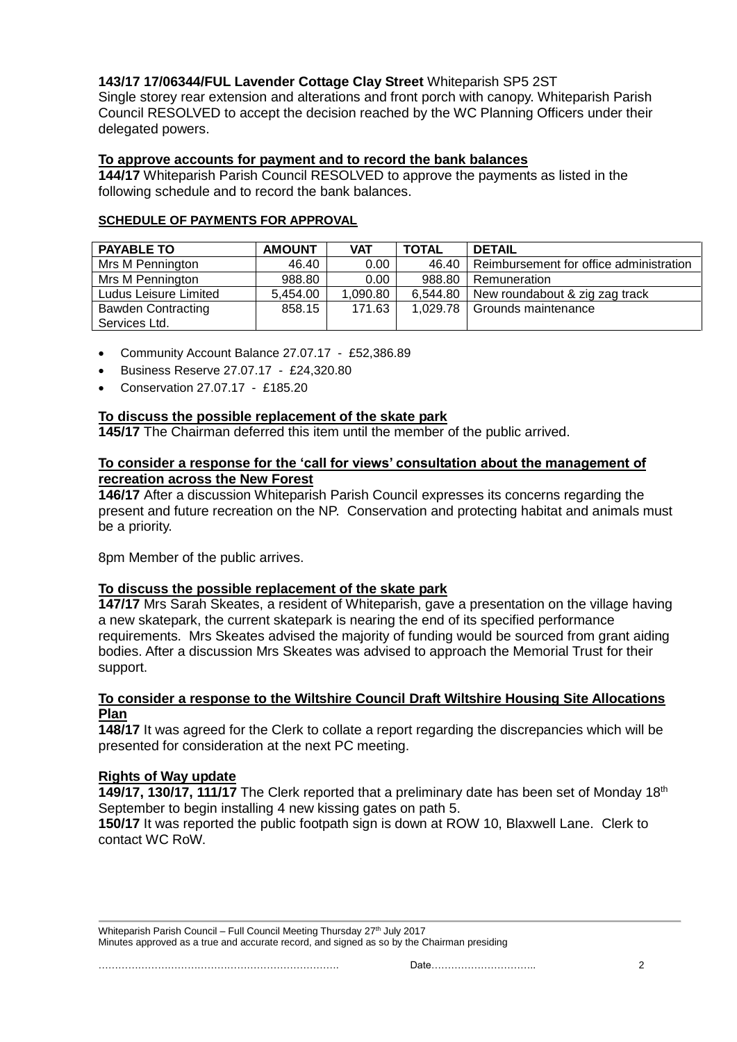# **143/17 17/06344/FUL Lavender Cottage Clay Street** Whiteparish SP5 2ST

Single storey rear extension and alterations and front porch with canopy. Whiteparish Parish Council RESOLVED to accept the decision reached by the WC Planning Officers under their delegated powers.

# **To approve accounts for payment and to record the bank balances**

**144/17** Whiteparish Parish Council RESOLVED to approve the payments as listed in the following schedule and to record the bank balances.

#### **SCHEDULE OF PAYMENTS FOR APPROVAL**

| <b>PAYABLE TO</b>         | <b>AMOUNT</b> | <b>VAT</b>        | <b>TOTAL</b> | <b>DETAIL</b>                           |
|---------------------------|---------------|-------------------|--------------|-----------------------------------------|
| Mrs M Pennington          | 46.40         | 0.00 <sub>1</sub> | 46.40        | Reimbursement for office administration |
| Mrs M Pennington          | 988.80        | 0.00 <sub>1</sub> | 988.80       | Remuneration                            |
| Ludus Leisure Limited     | 5,454.00      | 1,090.80          | 6.544.80     | New roundabout & zig zag track          |
| <b>Bawden Contracting</b> | 858.15        | 171.63            | 1,029.78     | Grounds maintenance                     |
| Services Ltd.             |               |                   |              |                                         |

- Community Account Balance 27.07.17 £52,386.89
- Business Reserve 27.07.17 £24,320.80
- Conservation 27.07.17 £185.20

# **To discuss the possible replacement of the skate park**

**145/17** The Chairman deferred this item until the member of the public arrived.

#### **To consider a response for the 'call for views' consultation about the management of recreation across the New Forest**

**146/17** After a discussion Whiteparish Parish Council expresses its concerns regarding the present and future recreation on the NP. Conservation and protecting habitat and animals must be a priority.

8pm Member of the public arrives.

# **To discuss the possible replacement of the skate park**

**147/17** Mrs Sarah Skeates, a resident of Whiteparish, gave a presentation on the village having a new skatepark, the current skatepark is nearing the end of its specified performance requirements. Mrs Skeates advised the majority of funding would be sourced from grant aiding bodies. After a discussion Mrs Skeates was advised to approach the Memorial Trust for their support.

#### **To consider a response to the Wiltshire Council Draft Wiltshire Housing Site Allocations Plan**

**148/17** It was agreed for the Clerk to collate a report regarding the discrepancies which will be presented for consideration at the next PC meeting.

# **Rights of Way update**

**149/17, 130/17, 111/17** The Clerk reported that a preliminary date has been set of Monday 18<sup>th</sup> September to begin installing 4 new kissing gates on path 5.

**150/17** It was reported the public footpath sign is down at ROW 10, Blaxwell Lane. Clerk to contact WC RoW.

Whiteparish Parish Council – Full Council Meeting Thursday 27<sup>th</sup> July 2017 Minutes approved as a true and accurate record, and signed as so by the Chairman presiding

………………………………………………………………. Date………………………….. 2